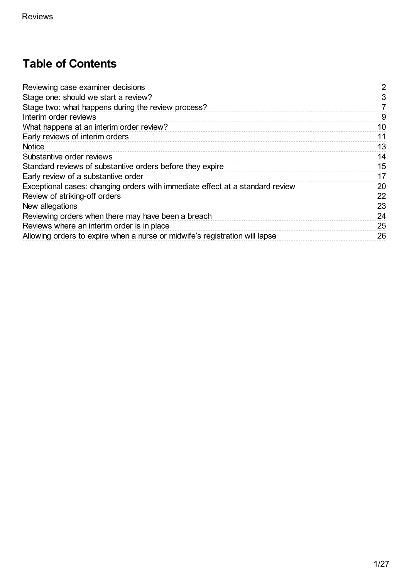# **Table of Contents**

| Reviewing case examiner decisions                                             | 2  |
|-------------------------------------------------------------------------------|----|
| Stage one: should we start a review?                                          | 3  |
| Stage two: what happens during the review process?                            | 7  |
| Interim order reviews                                                         | 9  |
| What happens at an interim order review?                                      | 10 |
| Early reviews of interim orders                                               | 11 |
| <b>Notice</b>                                                                 | 13 |
| Substantive order reviews                                                     | 14 |
| Standard reviews of substantive orders before they expire                     | 15 |
| Early review of a substantive order                                           | 17 |
| Exceptional cases: changing orders with immediate effect at a standard review | 20 |
| Review of striking-off orders                                                 | 22 |
| New allegations                                                               | 23 |
| Reviewing orders when there may have been a breach                            | 24 |
| Reviews where an interim order is in place                                    | 25 |
| Allowing orders to expire when a nurse or midwife's registration will lapse   | 26 |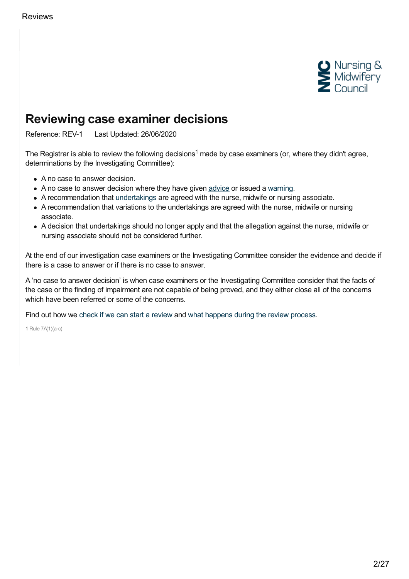

# <span id="page-1-0"></span>**Reviewing case examiner decisions**

Reference: REV-1 Last Updated: 26/06/2020

The Registrar is able to review the following decisions<sup>1</sup> made by case examiners (or, where they didn't agree, determinations by the Investigating Committee):

- A no case to answer decision.
- A no case to answer decision where they have given [advice](https://www.nmc.org.uk/ftp-library/case-examiners/available-outcomes/advice/) or issued a [warning](https://www.nmc.org.uk/ftp-library/case-examiners/available-outcomes/warnings/).
- A recommendation that [undertakings](https://www.nmc.org.uk/ftp-library/case-examiners/available-outcomes/undertakings/) are agreed with the nurse, midwife or nursing associate.
- A recommendation that variations to the undertakings are agreed with the nurse, midwife or nursing associate.
- A decision that undertakings should no longer apply and that the allegation against the nurse, midwife or nursing associate should not be considered further.

At the end of our investigation case examiners or the Investigating Committee consider the evidence and decide if there is a case to answer or if there is no case to answer.

A 'no case to answer decision' is when case examiners or the Investigating Committee consider that the facts of the case or the finding of impairment are not capable of being proved, and they either close all of the concerns which have been referred or some of the concerns.

Find out how we check if we can start a [review](https://www.nmc.org.uk/ftp-library/reviews/reviewing-case-examiner-decisions/stage-one-should-we-start-a-review/) and what [happens](https://www.nmc.org.uk/ftp-library/reviews/reviewing-case-examiner-decisions/stage-two-what-happens-during-the-review-process/) during the review process.

1 Rule 7A(1)(a-c)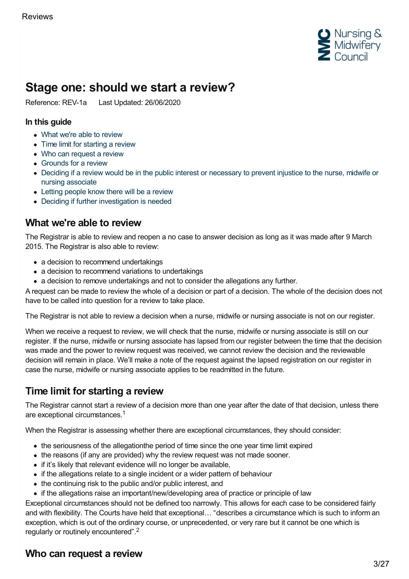

# <span id="page-2-0"></span>**Stage one: should we start a review?**

Reference: REV-1a Last Updated: 26/06/2020

#### **In this guide**

- What we're able to [review](#page-2-1)
- Time limit for [starting](#page-2-2) a review
- Who can [request](#page-2-3) a review
- [Grounds](#page-3-0) for a review
- Deciding if a review would be in the public interest or [necessary](#page-4-0) to prevent injustice to the nurse, midwife or nursing associate
- Letting [people](#page-4-1) know there will be a review
- Deciding if further [investigation](#page-5-0) is needed

### <span id="page-2-1"></span>**What we're able to review**

The Registrar is able to review and reopen a no case to answer decision as long as it was made after 9 March 2015. The Registrar is also able to review:

- a decision to recommend undertakings
- a decision to recommend variations to undertakings
- a decision to remove undertakings and not to consider the allegations any further.

A request can be made to review the whole of a decision or part of a decision. The whole of the decision does not have to be called into question for a review to take place.

The Registrar is not able to review a decision when a nurse, midwife or nursing associate is not on our register.

When we receive a request to review, we will check that the nurse, midwife or nursing associate is still on our register. If the nurse, midwife or nursing associate has lapsed from our register between the time that the decision was made and the power to review request was received, we cannot review the decision and the reviewable decision will remain in place. We'll make a note of the request against the lapsed registration on our register in case the nurse, midwife or nursing associate applies to be readmitted in the future.

## <span id="page-2-2"></span>**Time limit for starting a review**

The Registrar cannot start a review of a decision more than one year after the date of that decision, unless there are exceptional circumstances. 1

When the Registrar is assessing whether there are exceptional circumstances, they should consider:

- the seriousness of the allegationthe period of time since the one year time limit expired
- the reasons (if any are provided) why the review request was not made sooner.
- if it's likely that relevant evidence will no longer be available,
- if the allegations relate to a single incident or a wider pattern of behaviour
- the continuing risk to the public and/or public interest, and
- if the allegations raise an important/new/developing area of practice or principle of law

Exceptional circumstances should not be defined too narrowly. This allows for each case to be considered fairly and with flexibility. The Courts have held that exceptional… "describes a circumstance which is such to inform an exception, which is out of the ordinary course, or unprecedented, or very rare but it cannot be one which is regularly or routinely encountered".<sup>2</sup>

## <span id="page-2-3"></span>**Who can request a review**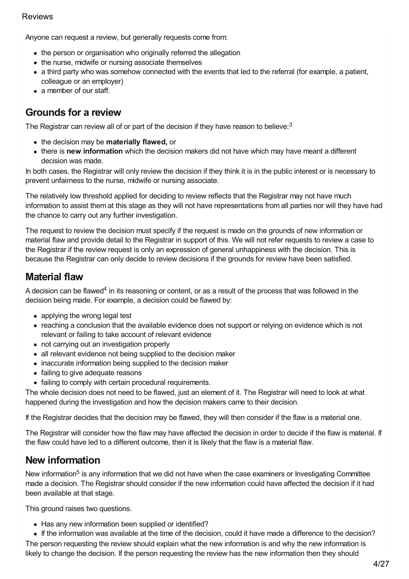Anyone can request a review, but generally requests come from:

- the person or organisation who originally referred the allegation
- the nurse, midwife or nursing associate themselves
- a third party who was somehow connected with the events that led to the referral (for example, a patient, colleague or an employer)
- a member of our staff.

### <span id="page-3-0"></span>**Grounds for a review**

The Registrar can review all of or part of the decision if they have reason to believe:<sup>3</sup>

- the decision may be **materially flawed,** or
- there is **new information** which the decision makers did not have which may have meant a different decision was made.

In both cases, the Registrar will only review the decision if they think it is in the public interest or is necessary to prevent unfairness to the nurse, midwife or nursing associate.

The relatively low threshold applied for deciding to review reflects that the Registrar may not have much information to assist them at this stage as they will not have representations from all parties nor will they have had the chance to carry out any further investigation.

The request to review the decision must specify if the request is made on the grounds of new information or material flaw and provide detail to the Registrar in support of this. We will not refer requests to review a case to the Registrar if the review request is only an expression of general unhappiness with the decision. This is because the Registrar can only decide to review decisions if the grounds for review have been satisfied.

## **Material flaw**

A decision can be flawed<sup>4</sup> in its reasoning or content, or as a result of the process that was followed in the decision being made. For example, a decision could be flawed by:

- applying the wrong legal test
- reaching a conclusion that the available evidence does not support or relying on evidence which is not relevant or failing to take account of relevant evidence
- not carrying out an investigation properly
- all relevant evidence not being supplied to the decision maker
- inaccurate information being supplied to the decision maker
- failing to give adequate reasons
- failing to comply with certain procedural requirements.

The whole decision does not need to be flawed, just an element of it. The Registrar will need to look at what happened during the investigation and how the decision makers came to their decision.

If the Registrar decides that the decision may be flawed, they will then consider if the flaw is a material one.

The Registrar will consider how the flaw may have affected the decision in order to decide if the flaw is material. If the flaw could have led to a different outcome, then it is likely that the flaw is a material flaw.

## **New information**

New information<sup>5</sup> is any information that we did not have when the case examiners or Investigating Committee made a decision. The Registrar should consider if the new information could have affected the decision if it had been available at that stage.

This ground raises two questions.

- Has any new information been supplied or identified?
- If the information was available at the time of the decision, could it have made a difference to the decision? The person requesting the review should explain what the new information is and why the new information is

likely to change the decision. If the person requesting the review has the new information then they should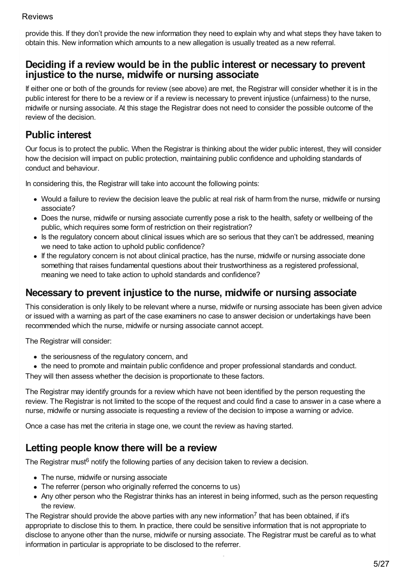provide this. If they don't provide the new information they need to explain why and what steps they have taken to obtain this. New information which amounts to a new allegation is usually treated as a new referral.

### <span id="page-4-0"></span>**Deciding if a review would be in the public interest or necessary to prevent injustice to the nurse, midwife or nursing associate**

If either one or both of the grounds for review (see above) are met, the Registrar will consider whether it is in the public interest for there to be a review or if a review is necessary to prevent injustice (unfairness) to the nurse, midwife or nursing associate. At this stage the Registrar does not need to consider the possible outcome of the review of the decision.

## **Public interest**

Our focus is to protect the public. When the Registrar is thinking about the wider public interest, they will consider how the decision will impact on public protection, maintaining public confidence and upholding standards of conduct and behaviour.

In considering this, the Registrar will take into account the following points:

- Would a failure to review the decision leave the public at real risk of harm from the nurse, midwife or nursing associate?
- Does the nurse, midwife or nursing associate currently pose a risk to the health, safety or wellbeing of the public, which requires some form of restriction on their registration?
- Is the regulatory concern about clinical issues which are so serious that they can't be addressed, meaning we need to take action to uphold public confidence?
- If the regulatory concern is not about clinical practice, has the nurse, midwife or nursing associate done something that raises fundamental questions about their trustworthiness as a registered professional, meaning we need to take action to uphold standards and confidence?

### **Necessary to prevent injustice to the nurse, midwife or nursing associate**

This consideration is only likely to be relevant where a nurse, midwife or nursing associate has been given advice or issued with a warning as part of the case examiners no case to answer decision or undertakings have been recommended which the nurse, midwife or nursing associate cannot accept.

The Registrar will consider:

- the seriousness of the regulatory concern, and
- the need to promote and maintain public confidence and proper professional standards and conduct.

They will then assess whether the decision is proportionate to these factors.

The Registrar may identify grounds for a review which have not been identified by the person requesting the review. The Registrar is not limited to the scope of the request and could find a case to answer in a case where a nurse, midwife or nursing associate is requesting a review of the decision to impose a warning or advice.

Once a case has met the criteria in stage one, we count the review as having started.

### <span id="page-4-1"></span>**Letting people know there will be a review**

The Registrar must<sup>6</sup> notify the following parties of any decision taken to review a decision.

- The nurse, midwife or nursing associate
- The referrer (person who originally referred the concerns to us)
- Any other person who the Registrar thinks has an interest in being informed, such as the person requesting the review.

The Registrar should provide the above parties with any new information<sup>7</sup> that has been obtained, if it's appropriate to disclose this to them. In practice, there could be sensitive information that is not appropriate to disclose to anyone other than the nurse, midwife or nursing associate. The Registrar must be careful as to what information in particular is appropriate to be disclosed to the referrer.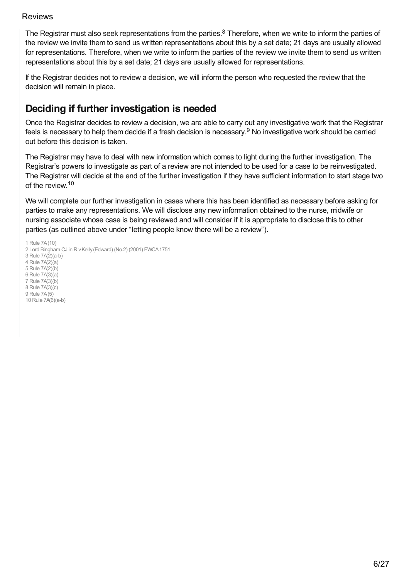The Registrar must also seek representations from the parties. $8$  Therefore, when we write to inform the parties of the review we invite them to send us written representations about this by a set date; 21 days are usually allowed for representations. Therefore, when we write to inform the parties of the review we invite them to send us written representations about this by a set date; 21 days are usually allowed for representations.

If the Registrar decides not to review a decision, we will inform the person who requested the review that the decision will remain in place.

## <span id="page-5-0"></span>**Deciding if further investigation is needed**

Once the Registrar decides to review a decision, we are able to carry out any investigative work that the Registrar feels is necessary to help them decide if a fresh decision is necessary.<sup>9</sup> No investigative work should be carried out before this decision is taken.

The Registrar may have to deal with new information which comes to light during the further investigation. The Registrar's powers to investigate as part of a review are not intended to be used for a case to be reinvestigated. The Registrar will decide at the end of the further investigation if they have sufficient information to start stage two of the review. 10

We will complete our further investigation in cases where this has been identified as necessary before asking for parties to make any representations. We will disclose any new information obtained to the nurse, midwife or nursing associate whose case is being reviewed and will consider if it is appropriate to disclose this to other parties (as outlined above under "letting people know there will be a review").

 Rule 7A(10) 2 Lord Bingham CJ in R v Kelly (Edward) (No.2) (2001) EWCA 1751 Rule 7A(2)(a-b) Rule 7A(2)(a) Rule 7A(2)(b) Rule 7A(3)(a) Rule 7A(3)(b) Rule 7A(3)(c) Rule 7A(5) Rule 7A(6)(a-b)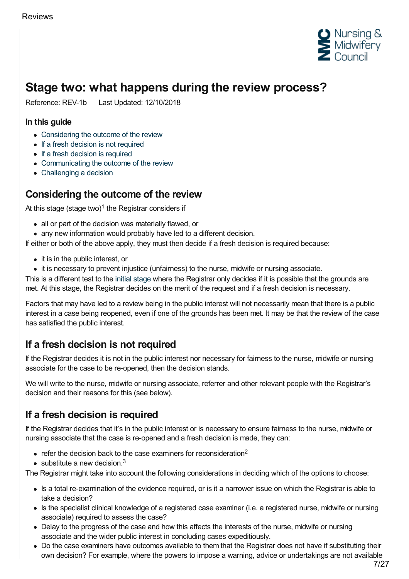

# <span id="page-6-0"></span>**Stage two: what happens during the review process?**

Reference: REV-1b Last Updated: 12/10/2018

#### **In this guide**

- [Considering](#page-6-1) the outcome of the review
- If a fresh [decision](#page-6-2) is not required
- If a fresh [decision](#page-6-3) is required
- [Communicating](#page-7-0) the outcome of the review
- [Challenging](#page-7-1) a decision

### <span id="page-6-1"></span>**Considering the outcome of the review**

At this stage (stage two) $1$  the Registrar considers if

- all or part of the decision was materially flawed, or
- any new information would probably have led to a different decision.

If either or both of the above apply, they must then decide if a fresh decision is required because:

- it is in the public interest, or
- it is necessary to prevent injustice (unfairness) to the nurse, midwife or nursing associate.

This is a different test to the initial [stage](https://www.nmc.org.uk/ftp-library/reviews/reviewing-case-examiner-decisions/stage-one-should-we-start-a-review/) where the Registrar only decides if it is possible that the grounds are met. At this stage, the Registrar decides on the merit of the request and if a fresh decision is necessary.

Factors that may have led to a review being in the public interest will not necessarily mean that there is a public interest in a case being reopened, even if one of the grounds has been met. It may be that the review of the case has satisfied the public interest.

## <span id="page-6-2"></span>**If a fresh decision is not required**

If the Registrar decides it is not in the public interest nor necessary for fairness to the nurse, midwife or nursing associate for the case to be re-opened, then the decision stands.

We will write to the nurse, midwife or nursing associate, referrer and other relevant people with the Registrar's decision and their reasons for this (see below).

## <span id="page-6-3"></span>**If a fresh decision is required**

If the Registrar decides that it's in the public interest or is necessary to ensure fairness to the nurse, midwife or nursing associate that the case is re-opened and a fresh decision is made, they can:

- refer the decision back to the case examiners for reconsideration<sup>2</sup>
- substitute a new decision. $3$

The Registrar might take into account the following considerations in deciding which of the options to choose:

- Is a total re-examination of the evidence required, or is it a narrower issue on which the Registrar is able to take a decision?
- Is the specialist clinical knowledge of a registered case examiner (i.e. a registered nurse, midwife or nursing associate) required to assess the case?
- Delay to the progress of the case and how this affects the interests of the nurse, midwife or nursing associate and the wider public interest in concluding cases expeditiously.
- Do the case examiners have outcomes available to them that the Registrar does not have if substituting their own decision? For example, where the powers to impose a warning, advice or undertakings are not available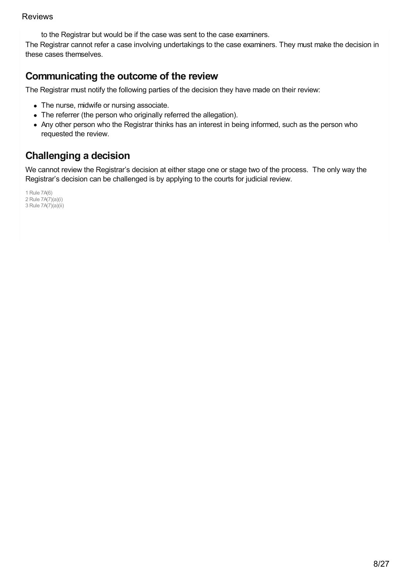to the Registrar but would be if the case was sent to the case examiners.

The Registrar cannot refer a case involving undertakings to the case examiners. They must make the decision in these cases themselves.

## <span id="page-7-0"></span>**Communicating the outcome of the review**

The Registrar must notify the following parties of the decision they have made on their review:

- The nurse, midwife or nursing associate.
- The referrer (the person who originally referred the allegation).
- Any other person who the Registrar thinks has an interest in being informed, such as the person who requested the review.

# <span id="page-7-1"></span>**Challenging a decision**

We cannot review the Registrar's decision at either stage one or stage two of the process. The only way the Registrar's decision can be challenged is by applying to the courts for judicial review.

1 Rule 7A(6) 2 Rule 7A(7)(a)(i) 3 Rule 7A(7)(a)(ii)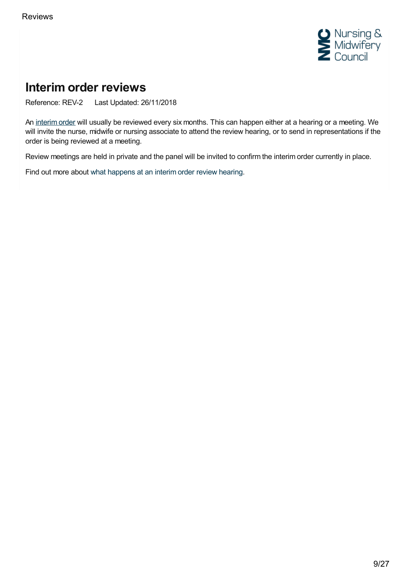

# <span id="page-8-0"></span>**Interim order reviews**

Reference: REV-2 Last Updated: 26/11/2018

An [interim](https://www.nmc.org.uk/ftp-library/interim-orders/) order will usually be reviewed every six months. This can happen either at a hearing or a meeting. We will invite the nurse, midwife or nursing associate to attend the review hearing, or to send in representations if the order is being reviewed at a meeting.

Review meetings are held in private and the panel will be invited to confirm the interim order currently in place.

Find out more about what [happens](https://www.nmc.org.uk/ftp-library/reviews/interim-order-reviews/what-happens-at-an-interim-order-review/) at an interim order review hearing.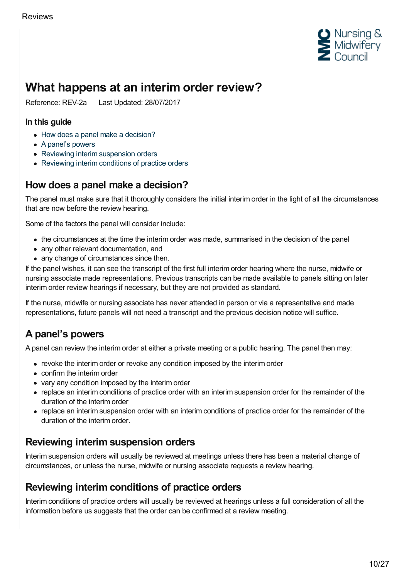

# <span id="page-9-0"></span>**What happens at an interim order review?**

Reference: REV-2a Last Updated: 28/07/2017

#### **In this guide**

- How does a panel make a [decision?](#page-9-1)
- A [panel's](#page-9-2) powers
- Reviewing interim [suspension](#page-9-3) orders
- [Reviewing](#page-9-4) interim conditions of practice orders

### <span id="page-9-1"></span>**How does a panel make a decision?**

The panel must make sure that it thoroughly considers the initial interim order in the light of all the circumstances that are now before the review hearing.

Some of the factors the panel will consider include:

- the circumstances at the time the interim order was made, summarised in the decision of the panel
- any other relevant documentation, and
- any change of circumstances since then.

If the panel wishes, it can see the transcript of the first full interim order hearing where the nurse, midwife or nursing associate made representations. Previous transcripts can be made available to panels sitting on later interim order review hearings if necessary, but they are not provided as standard.

If the nurse, midwife or nursing associate has never attended in person or via a representative and made representations, future panels will not need a transcript and the previous decision notice will suffice.

## <span id="page-9-2"></span>**A panel's powers**

A panel can review the interim order at either a private meeting or a public hearing. The panel then may:

- revoke the interim order or revoke any condition imposed by the interim order
- confirm the interim order
- vary any condition imposed by the interim order
- replace an interim conditions of practice order with an interim suspension order for the remainder of the duration of the interim order
- replace an interim suspension order with an interim conditions of practice order for the remainder of the duration of the interim order.

## <span id="page-9-3"></span>**Reviewing interim suspension orders**

Interim suspension orders will usually be reviewed at meetings unless there has been a material change of circumstances, or unless the nurse, midwife or nursing associate requests a review hearing.

### <span id="page-9-4"></span>**Reviewing interim conditions of practice orders**

Interim conditions of practice orders will usually be reviewed at hearings unless a full consideration of all the information before us suggests that the order can be confirmed at a review meeting.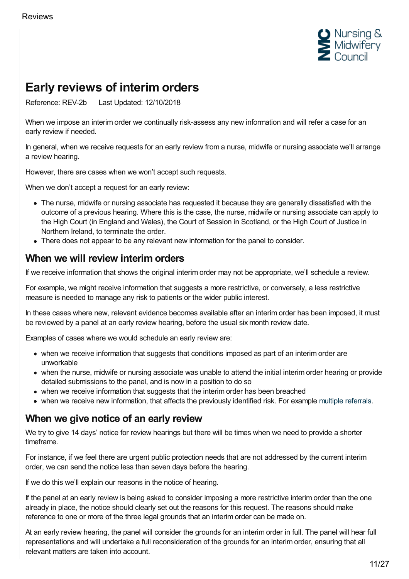

# <span id="page-10-0"></span>**Early reviews of interim orders**

Reference: REV-2b Last Updated: 12/10/2018

When we impose an interim order we continually risk-assess any new information and will refer a case for an early review if needed.

In general, when we receive requests for an early review from a nurse, midwife or nursing associate we'll arrange a review hearing.

However, there are cases when we won't accept such requests.

When we don't accept a request for an early review:

- The nurse, midwife or nursing associate has requested it because they are generally dissatisfied with the outcome of a previous hearing. Where this is the case, the nurse, midwife or nursing associate can apply to the High Court (in England and Wales), the Court of Session in Scotland, or the High Court of Justice in Northern Ireland, to terminate the order.
- There does not appear to be any relevant new information for the panel to consider.

### **When we will review interim orders**

If we receive information that shows the original interim order may not be appropriate, we'll schedule a review.

For example, we might receive information that suggests a more restrictive, or conversely, a less restrictive measure is needed to manage any risk to patients or the wider public interest.

In these cases where new, relevant evidence becomes available after an interim order has been imposed, it must be reviewed by a panel at an early review hearing, before the usual six month review date.

Examples of cases where we would schedule an early review are:

- when we receive information that suggests that conditions imposed as part of an interim order are unworkable
- when the nurse, midwife or nursing associate was unable to attend the initial interim order hearing or provide detailed submissions to the panel, and is now in a position to do so
- when we receive information that suggests that the interim order has been breached
- when we receive new information, that affects the previously identified risk. For example multiple [referrals](https://www.nmc.org.uk/ftp-library/interim-orders/further-guidance-on-interim-orders/).

## **When we give notice of an early review**

We try to give 14 days' notice for review hearings but there will be times when we need to provide a shorter timeframe.

For instance, if we feel there are urgent public protection needs that are not addressed by the current interim order, we can send the notice less than seven days before the hearing.

If we do this we'll explain our reasons in the notice of hearing.

If the panel at an early review is being asked to consider imposing a more restrictive interim order than the one already in place, the notice should clearly set out the reasons for this request. The reasons should make reference to one or more of the three legal grounds that an interim order can be made on.

At an early review hearing, the panel will consider the grounds for an interim order in full. The panel will hear full representations and will undertake a full reconsideration of the grounds for an interim order, ensuring that all relevant matters are taken into account.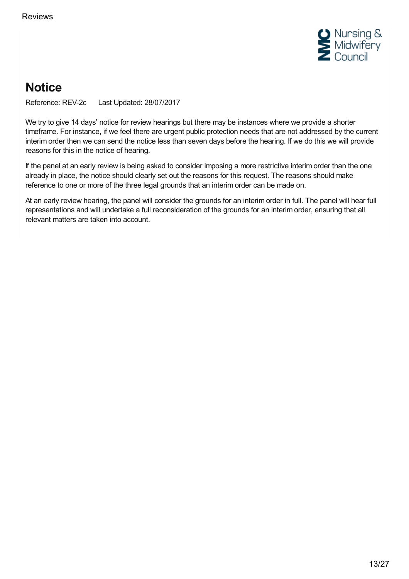

# <span id="page-12-0"></span>**Notice**

Reference: REV-2c Last Updated: 28/07/2017

We try to give 14 days' notice for review hearings but there may be instances where we provide a shorter timeframe. For instance, if we feel there are urgent public protection needs that are not addressed by the current interim order then we can send the notice less than seven days before the hearing. If we do this we will provide reasons for this in the notice of hearing.

If the panel at an early review is being asked to consider imposing a more restrictive interim order than the one already in place, the notice should clearly set out the reasons for this request. The reasons should make reference to one or more of the three legal grounds that an interim order can be made on.

At an early review hearing, the panel will consider the grounds for an interim order in full. The panel will hear full representations and will undertake a full reconsideration of the grounds for an interim order, ensuring that all relevant matters are taken into account.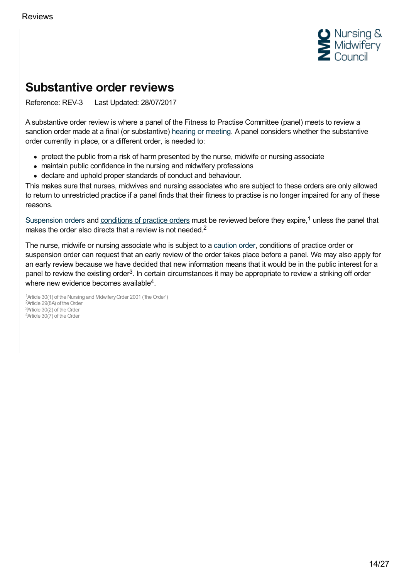

# <span id="page-13-0"></span>**Substantive order reviews**

Reference: REV-3 Last Updated: 28/07/2017

A substantive order review is where a panel of the Fitness to Practise Committee (panel) meets to review a sanction order made at a final (or substantive) hearing or [meeting](https://www.nmc.org.uk/ftp-library/case-management/dealing-with-cases-at-hearings-or-meetings/). A panel considers whether the substantive order currently in place, or a different order, is needed to:

- protect the public from a risk of harm presented by the nurse, midwife or nursing associate
- maintain public confidence in the nursing and midwifery professions
- declare and uphold proper standards of conduct and behaviour.

This makes sure that nurses, midwives and nursing associates who are subject to these orders are only allowed to return to unrestricted practice if a panel finds that their fitness to practise is no longer impaired for any of these reasons.

[Suspension](https://www.nmc.org.uk/ftp-library/sanctions/the-sanctions/suspension-order/) orders and [conditions](https://www.nmc.org.uk/ftp-library/sanctions/the-sanctions/conditions-of-practice-order/) of practice orders must be reviewed before they expire,<sup>1</sup> unless the panel that makes the order also directs that a review is not needed.<sup>2</sup>

The nurse, midwife or nursing associate who is subject to a [caution](https://www.nmc.org.uk/ftp-library/sanctions/the-sanctions/caution-order/) order, conditions of practice order or suspension order can request that an early review of the order takes place before a panel. We may also apply for an early review because we have decided that new information means that it would be in the public interest for a panel to review the existing order<sup>3</sup>. In certain circumstances it may be appropriate to review a striking off order where new evidence becomes available<sup>4</sup>.

<sup>1</sup> Article 30(1) of the Nursing and Mdwifery Order 2001 ('the Order') <sup>2</sup>Article 29(8A) of the Order 3Article 30(2) of the Order  $4$ Article  $30(7)$  of the Order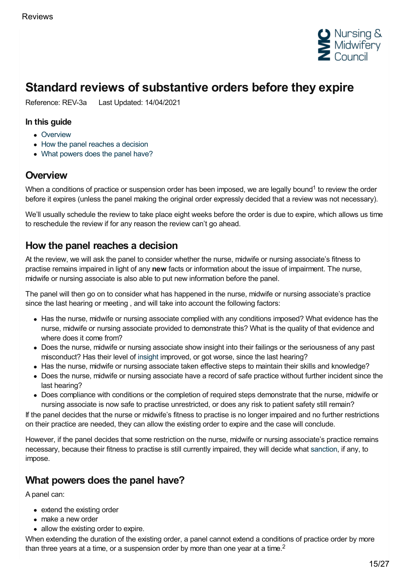

# <span id="page-14-0"></span>**Standard reviews of substantive orders before they expire**

Reference: REV-3a Last Updated: 14/04/2021

#### **In this guide**

- [Overview](#page-14-1)
- How the panel [reaches](#page-14-2) a decision
- What [powers](#page-14-3) does the panel have?

### <span id="page-14-1"></span>**Overview**

When a conditions of practice or suspension order has been imposed, we are legally bound<sup>1</sup> to review the order before it expires (unless the panel making the original order expressly decided that a review was not necessary).

We'll usually schedule the review to take place eight weeks before the order is due to expire, which allows us time to reschedule the review if for any reason the review can't go ahead.

### <span id="page-14-2"></span>**How the panel reaches a decision**

At the review, we will ask the panel to consider whether the nurse, midwife or nursing associate's fitness to practise remains impaired in light of any **new** facts or information about the issue of impairment. The nurse, midwife or nursing associate is also able to put new information before the panel.

The panel will then go on to consider what has happened in the nurse, midwife or nursing associate's practice since the last hearing or meeting , and will take into account the following factors:

- Has the nurse, midwife or nursing associate complied with any conditions imposed? What evidence has the nurse, midwife or nursing associate provided to demonstrate this? What is the quality of that evidence and where does it come from?
- Does the nurse, midwife or nursing associate show insight into their failings or the seriousness of any past misconduct? Has their level of [insight](https://www.nmc.org.uk/ftp-library/understanding-fitness-to-practise/insight-and-strengthened-practice/) improved, or got worse, since the last hearing?
- Has the nurse, midwife or nursing associate taken effective steps to maintain their skills and knowledge?
- Does the nurse, midwife or nursing associate have a record of safe practice without further incident since the last hearing?
- Does compliance with conditions or the completion of required steps demonstrate that the nurse, midwife or nursing associate is now safe to practise unrestricted, or does any risk to patient safety still remain?

If the panel decides that the nurse or midwife's fitness to practise is no longer impaired and no further restrictions on their practice are needed, they can allow the existing order to expire and the case will conclude.

However, if the panel decides that some restriction on the nurse, midwife or nursing associate's practice remains necessary, because their fitness to practise is still currently impaired, they will decide what [sanction](https://www.nmc.org.uk/ftp-library/sanctions/the-sanctions/), if any, to impose.

### <span id="page-14-3"></span>**What powers does the panel have?**

A panel can:

- extend the existing order
- make a new order
- allow the existing order to expire.

When extending the duration of the existing order, a panel cannot extend a conditions of practice order by more than three years at a time, or a suspension order by more than one year at a time.<sup>2</sup>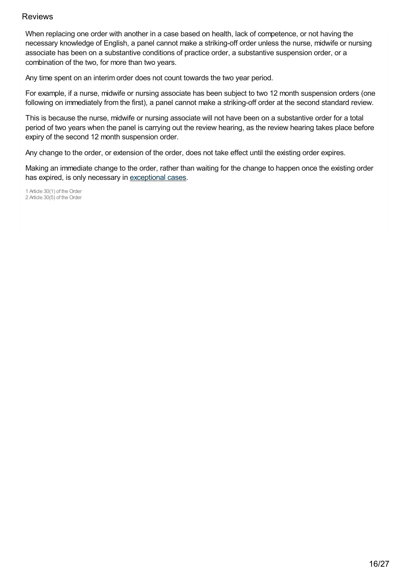When replacing one order with another in a case based on health, lack of competence, or not having the necessary knowledge of English, a panel cannot make a striking-off order unless the nurse, midwife or nursing associate has been on a substantive conditions of practice order, a substantive suspension order, or a combination of the two, for more than two years.

Any time spent on an interim order does not count towards the two year period.

For example, if a nurse, midwife or nursing associate has been subject to two 12 month suspension orders (one following on immediately from the first), a panel cannot make a striking-off order at the second standard review.

This is because the nurse, midwife or nursing associate will not have been on a substantive order for a total period of two years when the panel is carrying out the review hearing, as the review hearing takes place before expiry of the second 12 month suspension order.

Any change to the order, or extension of the order, does not take effect until the existing order expires.

Making an immediate change to the order, rather than waiting for the change to happen once the existing order has expired, is only necessary in [exceptional](https://www.nmc.org.uk/ftp-library/reviews/substantive-order-reviews/exceptional-cases-changing-orders-with-immediate-effect-at-a-standard-review/) cases.

1 Article 30(1) of the Order 2 Article 30(5) of the Order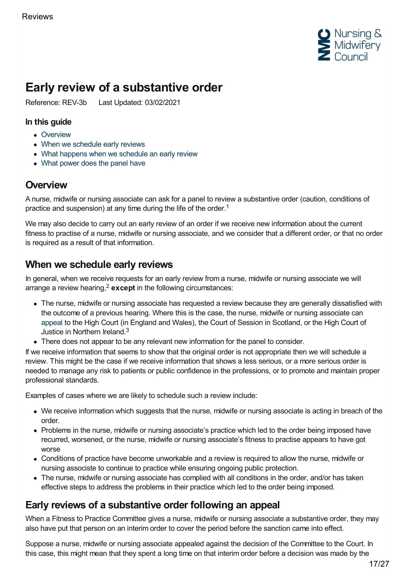

# <span id="page-16-0"></span>**Early review of a substantive order**

Reference: REV-3b Last Updated: 03/02/2021

#### **In this guide**

- [Overview](#page-16-1)
- When we [schedule](#page-16-2) early reviews
- What happens when we [schedule](#page-17-0) an early review
- What [power](#page-17-1) does the panel have

## <span id="page-16-1"></span>**Overview**

A nurse, midwife or nursing associate can ask for a panel to review a substantive order (caution, conditions of practice and suspension) at any time during the life of the order.<sup>1</sup>

We may also decide to carry out an early review of an order if we receive new information about the current fitness to practise of a nurse, midwife or nursing associate, and we consider that a different order, or that no order is required as a result of that information.

## <span id="page-16-2"></span>**When we schedule early reviews**

In general, when we receive requests for an early review from a nurse, midwife or nursing associate we will arrange a review hearing,<sup>2</sup> except in the following circumstances:

- The nurse, midwife or nursing associate has requested a review because they are generally dissatisfied with the outcome of a previous hearing. Where this is the case, the nurse, midwife or nursing associate can [appeal](https://www.nmc.org.uk/ftp-library/appeals-restoration/appeals-against-panel-decisions/) to the High Court (in England and Wales), the Court of Session in Scotland, or the High Court of Justice in Northern Ireland.<sup>3</sup>
- There does not appear to be any relevant new information for the panel to consider.

If we receive information that seems to show that the original order is not appropriate then we will schedule a review. This might be the case if we receive information that shows a less serious, or a more serious order is needed to manage any risk to patients or public confidence in the professions, or to promote and maintain proper professional standards.

Examples of cases where we are likely to schedule such a review include:

- We receive information which suggests that the nurse, midwife or nursing associate is acting in breach of the order.
- Problems in the nurse, midwife or nursing associate's practice which led to the order being imposed have recurred, worsened, or the nurse, midwife or nursing associate's fitness to practise appears to have got worse
- Conditions of practice have become unworkable and a review is required to allow the nurse, midwife or nursing associste to continue to practice while ensuring ongoing public protection.
- The nurse, midwife or nursing associate has complied with all conditions in the order, and/or has taken effective steps to address the problems in their practice which led to the order being imposed.

### **Early reviews of a substantive order following an appeal**

When a Fitness to Practice Committee gives a nurse, midwife or nursing associate a substantive order, they may also have put that person on an interim order to cover the period before the sanction came into effect.

Suppose a nurse, midwife or nursing associate appealed against the decision of the Committee to the Court. In this case, this might mean that they spent a long time on that interim order before a decision was made by the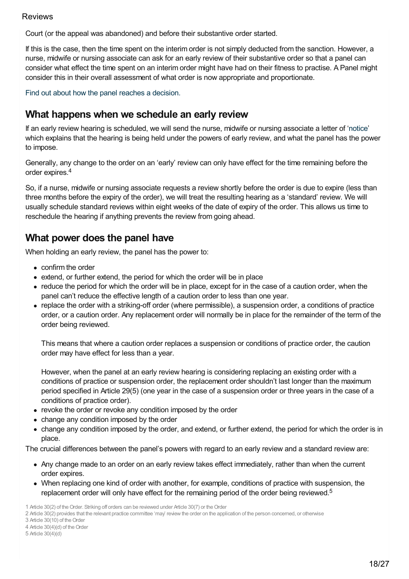Court (or the appeal was abandoned) and before their substantive order started.

If this is the case, then the time spent on the interim order is not simply deducted from the sanction. However, a nurse, midwife or nursing associate can ask for an early review of their substantive order so that a panel can consider what effect the time spent on an interim order might have had on their fitness to practise. A Panel might consider this in their overall assessment of what order is now appropriate and proportionate.

Find out about how the panel reaches a [decision.](https://www.nmc.org.uk/ftp-library/reviews/substantive-order-reviews/standard-reviews-before-expiry/)

### <span id="page-17-0"></span>**What happens when we schedule an early review**

If an early review hearing is scheduled, we will send the nurse, midwife or nursing associate a letter of ['notice](https://www.nmc.org.uk/ftp-library/hearings/notice-of-our-hearings-and-meetings/)' which explains that the hearing is being held under the powers of early review, and what the panel has the power to impose.

Generally, any change to the order on an 'early' review can only have effect for the time remaining before the order expires. 4

So, if a nurse, midwife or nursing associate requests a review shortly before the order is due to expire (less than three months before the expiry of the order), we will treat the resulting hearing as a 'standard' review. We will usually schedule standard reviews within eight weeks of the date of expiry of the order. This allows us time to reschedule the hearing if anything prevents the review from going ahead.

## <span id="page-17-1"></span>**What power does the panel have**

When holding an early review, the panel has the power to:

- confirm the order
- extend, or further extend, the period for which the order will be in place
- reduce the period for which the order will be in place, except for in the case of a caution order, when the panel can't reduce the effective length of a caution order to less than one year.
- replace the order with a striking-off order (where permissible), a suspension order, a conditions of practice order, or a caution order. Any replacement order will normally be in place for the remainder of the term of the order being reviewed.

This means that where a caution order replaces a suspension or conditions of practice order, the caution order may have effect for less than a year.

However, when the panel at an early review hearing is considering replacing an existing order with a conditions of practice or suspension order, the replacement order shouldn't last longer than the maximum period specified in Article 29(5) (one year in the case of a suspension order or three years in the case of a conditions of practice order).

- revoke the order or revoke any condition imposed by the order
- change any condition imposed by the order
- change any condition imposed by the order, and extend, or further extend, the period for which the order is in place.

The crucial differences between the panel's powers with regard to an early review and a standard review are:

- Any change made to an order on an early review takes effect immediately, rather than when the current order expires.
- When replacing one kind of order with another, for example, conditions of practice with suspension, the replacement order will only have effect for the remaining period of the order being reviewed.<sup>5</sup>

3 Article 30(10) of the Order

<sup>1</sup> Article 30(2) of the Order. Striking off orders can be reviewed under Article 30(7) or the Order

<sup>2</sup> Article 30(2) provides that the relevant practice committee 'may' reviewthe order on the application of the person concerned, or otherwise

<sup>4</sup> Article 30(4)(d) of the Order

<sup>5</sup> Article 30(4)(d)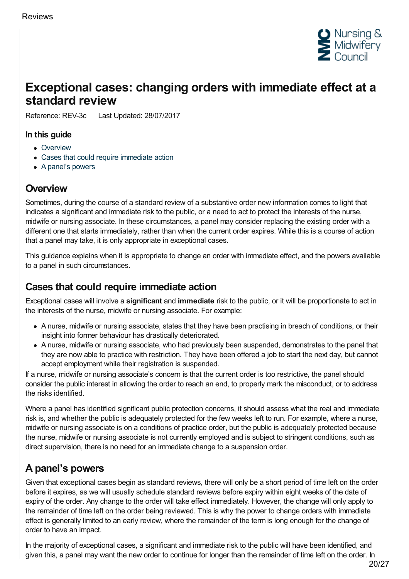

# <span id="page-19-0"></span>**Exceptional cases: changing orders with immediate effect at a standard review**

Reference: REV-3c Last Updated: 28/07/2017

#### **In this guide**

- [Overview](#page-19-1)
- Cases that could require [immediate](#page-19-2) action
- A [panel's](#page-19-3) powers

## <span id="page-19-1"></span>**Overview**

Sometimes, during the course of a standard review of a substantive order new information comes to light that indicates a significant and immediate risk to the public, or a need to act to protect the interests of the nurse, midwife or nursing associate. In these circumstances, a panel may consider replacing the existing order with a different one that starts immediately, rather than when the current order expires. While this is a course of action that a panel may take, it is only appropriate in exceptional cases.

This guidance explains when it is appropriate to change an order with immediate effect, and the powers available to a panel in such circumstances.

### <span id="page-19-2"></span>**Cases that could require immediate action**

Exceptional cases will involve a **significant** and **immediate** risk to the public, or it will be proportionate to act in the interests of the nurse, midwife or nursing associate. For example:

- A nurse, midwife or nursing associate, states that they have been practising in breach of conditions, or their insight into former behaviour has drastically deteriorated.
- A nurse, midwife or nursing associate, who had previously been suspended, demonstrates to the panel that they are now able to practice with restriction. They have been offered a job to start the next day, but cannot accept employment while their registration is suspended.

If a nurse, midwife or nursing associate's concern is that the current order is too restrictive, the panel should consider the public interest in allowing the order to reach an end, to properly mark the misconduct, or to address the risks identified.

Where a panel has identified significant public protection concerns, it should assess what the real and immediate risk is, and whether the public is adequately protected for the few weeks left to run. For example, where a nurse, midwife or nursing associate is on a conditions of practice order, but the public is adequately protected because the nurse, midwife or nursing associate is not currently employed and is subject to stringent conditions, such as direct supervision, there is no need for an immediate change to a suspension order.

## <span id="page-19-3"></span>**A panel's powers**

Given that exceptional cases begin as standard reviews, there will only be a short period of time left on the order before it expires, as we will usually schedule standard reviews before expiry within eight weeks of the date of expiry of the order. Any change to the order will take effect immediately. However, the change will only apply to the remainder of time left on the order being reviewed. This is why the power to change orders with immediate effect is generally limited to an early review, where the remainder of the term is long enough for the change of order to have an impact.

In the majority of exceptional cases, a significant and immediate risk to the public will have been identified, and given this, a panel may want the new order to continue for longer than the remainder of time left on the order. In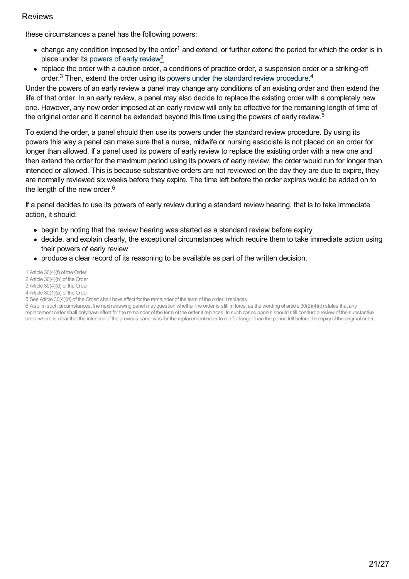these circumstances a panel has the following powers:

- change any condition imposed by the order<sup>1</sup> and extend, or further extend the period for which the order is in place under its [powers](https://www.nmc.org.uk/ftp-library/reviews/substantive-order-reviews/early-review/) of early review<sup>2</sup>
- replace the order with a caution order, a conditions of practice order, a suspension order or a striking-off order. $3$  Then, extend the order using its powers under the standard review [procedure](https://www.nmc.org.uk/ftp-library/reviews/substantive-order-reviews/standard-reviews-before-expiry/).<sup>4</sup>

Under the powers of an early review a panel may change any conditions of an existing order and then extend the life of that order. In an early review, a panel may also decide to replace the existing order with a completely new one. However, any new order imposed at an early review will only be effective for the remaining length of time of the original order and it cannot be extended beyond this time using the powers of early review.<sup>5</sup>

To extend the order, a panel should then use its powers under the standard review procedure. By using its powers this way a panel can make sure that a nurse, midwife or nursing associate is not placed on an order for longer than allowed. If a panel used its powers of early review to replace the existing order with a new one and then extend the order for the maximum period using its powers of early review, the order would run for longer than intended or allowed. This is because substantive orders are not reviewed on the day they are due to expire, they are normally reviewed six weeks before they expire. The time left before the order expires would be added on to the length of the new order.<sup>6</sup>

If a panel decides to use its powers of early review during a standard review hearing, that is to take immediate action, it should:

- begin by noting that the review hearing was started as a standard review before expiry
- decide, and explain clearly, the exceptional circumstances which require them to take immediate action using their powers of early review
- produce a clear record of its reasoning to be available as part of the written decision.

1 Article 30(4)(f) of the Order

- 2 Article 30(4)(b) of the Order
- 3 Article 30(4)(d) of the Order
- 4 Article 30(1)(a) of the Order

6 Also, in such circumstances, the next reviewing panel mayquestion whether the order is still in force, as the wording of article 30(2)(4)(d) states that any replacement order shall onlyhave effect for the remainder of the term of the order it replaces. In such cases panels should still conduct a reviewof the substantive order where is clear that the intention of the previous panel was for the replacement order to run for longer than the period left before the expiryof the original order.

<sup>5</sup> See Article 30(4)(d) of theOrder: shall have effect for the remainder of the term of the order it replaces.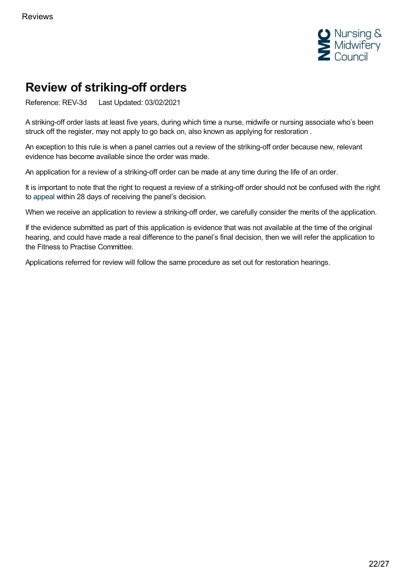

# <span id="page-21-0"></span>**Review of striking-off orders**

Reference: REV-3d Last Updated: 03/02/2021

A striking-off order lasts at least five years, during which time a nurse, midwife or nursing associate who's been struck off the register, may not apply to go back on, also known as applying for restoration .

An exception to this rule is when a panel carries out a review of the striking-off order because new, relevant evidence has become available since the order was made.

An application for a review of a striking-off order can be made at any time during the life of an order.

It is important to note that the right to request a review of a striking-off order should not be confused with the right to [appeal](https://www.nmc.org.uk/ftp-library/appeals-restoration/) within 28 days of receiving the panel's decision.

When we receive an application to review a striking-off order, we carefully consider the merits of the application.

If the evidence submitted as part of this application is evidence that was not available at the time of the original hearing, and could have made a real difference to the panel's final decision, then we will refer the application to the Fitness to Practise Committee.

Applications referred for review will follow the same procedure as set out for restoration hearings.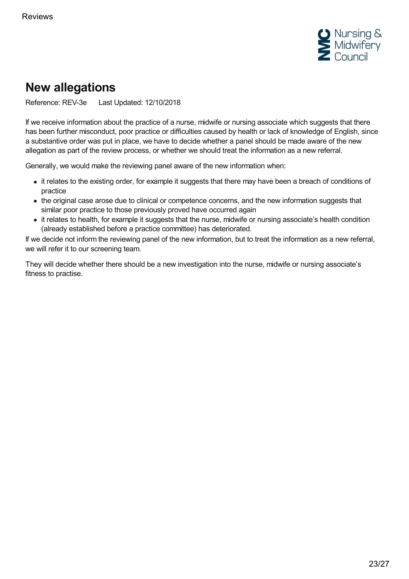

# <span id="page-22-0"></span>**New allegations**

Reference: REV-3e Last Updated: 12/10/2018

If we receive information about the practice of a nurse, midwife or nursing associate which suggests that there has been further misconduct, poor practice or difficulties caused by health or lack of knowledge of English, since a substantive order was put in place, we have to decide whether a panel should be made aware of the new allegation as part of the review process, or whether we should treat the information as a new referral.

Generally, we would make the reviewing panel aware of the new information when:

- it relates to the existing order, for example it suggests that there may have been a breach of conditions of practice
- the original case arose due to clinical or competence concerns, and the new information suggests that similar poor practice to those previously proved have occurred again
- it relates to health, for example it suggests that the nurse, midwife or nursing associate's health condition (already established before a practice committee) has deteriorated.

If we decide not inform the reviewing panel of the new information, but to treat the information as a new referral, we will refer it to our screening team.

They will decide whether there should be a new investigation into the nurse, midwife or nursing associate's fitness to practise.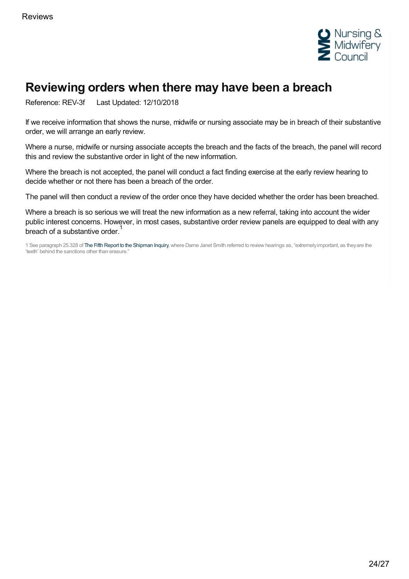

# <span id="page-23-0"></span>**Reviewing orders when there may have been a breach**

Reference: REV-3f Last Updated: 12/10/2018

If we receive information that shows the nurse, midwife or nursing associate may be in breach of their substantive order, we will arrange an early review.

Where a nurse, midwife or nursing associate accepts the breach and the facts of the breach, the panel will record this and review the substantive order in light of the new information.

Where the breach is not accepted, the panel will conduct a fact finding exercise at the early review hearing to decide whether or not there has been a breach of the order.

The panel will then conduct a review of the order once they have decided whether the order has been breached.

Where a breach is so serious we will treat the new information as a new referral, taking into account the wider public interest concerns. However, in most cases, substantive order review panels are equipped to deal with any breach of a substantive order.<sup>1</sup>

1 See paragraph 25.328 of The Fifth Report to the [Shipman](http://webarchive.nationalarchives.gov.uk/20090808163839/http:/www.the-shipman-inquiry.org.uk/images/fifthreport/SHIP05_COMPLETE_NO_APPS.pdf) Inquiry, where Dame Janet Smith referred to review hearings as, "extremely important, as they are the 'teeth' behind the sanctions other than erasure."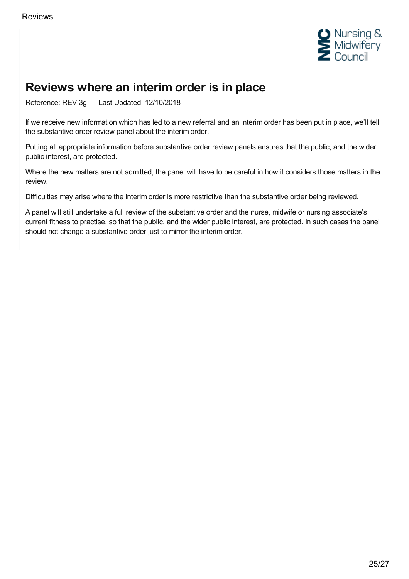

# <span id="page-24-0"></span>**Reviews where an interim order is in place**

Reference: REV-3g Last Updated: 12/10/2018

If we receive new information which has led to a new referral and an interim order has been put in place, we'll tell the substantive order review panel about the interim order.

Putting all appropriate information before substantive order review panels ensures that the public, and the wider public interest, are protected.

Where the new matters are not admitted, the panel will have to be careful in how it considers those matters in the review.

Difficulties may arise where the interim order is more restrictive than the substantive order being reviewed.

A panel will still undertake a full review of the substantive order and the nurse, midwife or nursing associate's current fitness to practise, so that the public, and the wider public interest, are protected. In such cases the panel should not change a substantive order just to mirror the interim order.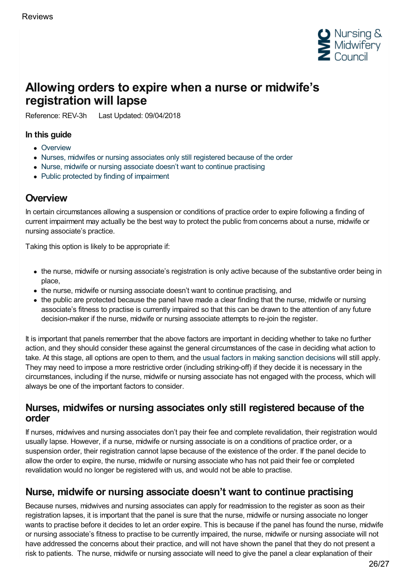

# <span id="page-25-0"></span>**Allowing orders to expire when a nurse or midwife's registration will lapse**

Reference: REV-3h Last Updated: 09/04/2018

#### **In this guide**

- [Overview](#page-25-1)
- Nurses, midwifes or nursing [associates](#page-25-2) only still registered because of the order
- Nurse, midwife or nursing [associate](#page-25-3) doesn't want to continue practising
- Public protected by finding of [impairment](#page-26-0)

### <span id="page-25-1"></span>**Overview**

In certain circumstances allowing a suspension or conditions of practice order to expire following a finding of current impairment may actually be the best way to protect the public from concerns about a nurse, midwife or nursing associate's practice.

Taking this option is likely to be appropriate if:

- the nurse, midwife or nursing associate's registration is only active because of the substantive order being in place,
- the nurse, midwife or nursing associate doesn't want to continue practising, and
- the public are protected because the panel have made a clear finding that the nurse, midwife or nursing associate's fitness to practise is currently impaired so that this can be drawn to the attention of any future decision-maker if the nurse, midwife or nursing associate attempts to re-join the register.

It is important that panels remember that the above factors are important in deciding whether to take no further action, and they should consider these against the general circumstances of the case in deciding what action to take. At this stage, all options are open to them, and the usual factors in making sanction [decisions](https://www.nmc.org.uk/ftp-library/sanctions/decision-making-factors/) will still apply. They may need to impose a more restrictive order (including striking-off) if they decide it is necessary in the circumstances, including if the nurse, midwife or nursing associate has not engaged with the process, which will always be one of the important factors to consider.

#### <span id="page-25-2"></span>**Nurses, midwifes or nursing associates only still registered because of the order**

If nurses, midwives and nursing associates don't pay their fee and complete revalidation, their registration would usually lapse. However, if a nurse, midwife or nursing associate is on a conditions of practice order, or a suspension order, their registration cannot lapse because of the existence of the order. If the panel decide to allow the order to expire, the nurse, midwife or nursing associate who has not paid their fee or completed revalidation would no longer be registered with us, and would not be able to practise.

### <span id="page-25-3"></span>**Nurse, midwife or nursing associate doesn't want to continue practising**

Because nurses, midwives and nursing associates can apply for readmission to the register as soon as their registration lapses, it is important that the panel is sure that the nurse, midwife or nursing associate no longer wants to practise before it decides to let an order expire. This is because if the panel has found the nurse, midwife or nursing associate's fitness to practise to be currently impaired, the nurse, midwife or nursing associate will not have addressed the concerns about their practice, and will not have shown the panel that they do not present a risk to patients. The nurse, midwife or nursing associate will need to give the panel a clear explanation of their